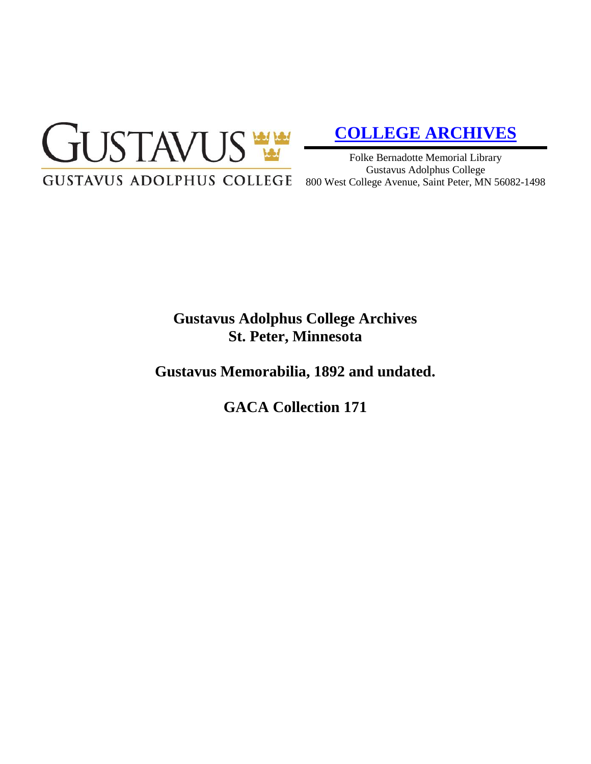

# **[COLLEGE ARCHIVES](http://gustavus.edu/academics/library/archives/)**

Folke Bernadotte Memorial Library Gustavus Adolphus College 800 West College Avenue, Saint Peter, MN 56082-1498

# **Gustavus Adolphus College Archives St. Peter, Minnesota**

**Gustavus Memorabilia, 1892 and undated.**

**GACA Collection 171**